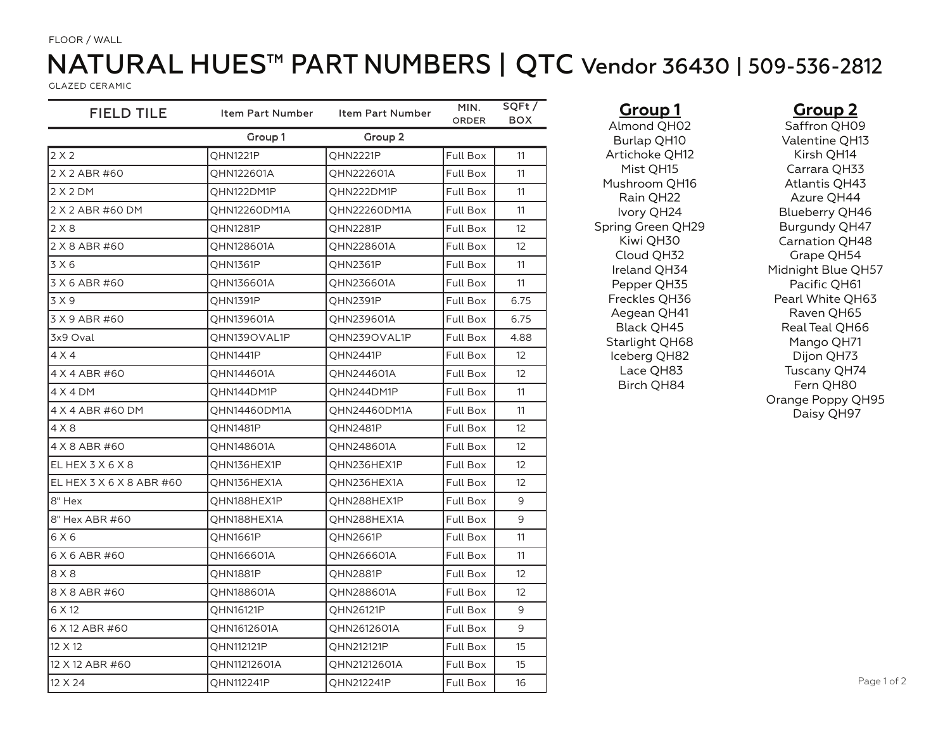#### FLOOR / WALL

# NATURAL HUES™ PART NUMBERS | QTC Vendor 36430 | 509-536-2812

GLAZED CERAMIC

| <b>FIELD TILE</b>        | Item Part Number | Item Part Number | MIN.<br>ORDER   | SQFt/<br><b>BOX</b> |
|--------------------------|------------------|------------------|-----------------|---------------------|
|                          | Group 1          | Group 2          |                 |                     |
| 2X2                      | <b>QHN1221P</b>  | QHN2221P         | <b>Full Box</b> | 11                  |
| 2 X 2 ABR #60            | QHN122601A       | QHN222601A       | Full Box        | 11                  |
| 2X2DM                    | QHN122DM1P       | QHN222DM1P       | <b>Full Box</b> | 11                  |
| 2 X 2 ABR #60 DM         | QHN12260DM1A     | QHN22260DM1A     | Full Box        | 11                  |
| 2X8                      | <b>QHN1281P</b>  | QHN2281P         | Full Box        | 12                  |
| 2 X 8 ABR #60            | QHN128601A       | QHN228601A       | Full Box        | $12 \overline{ }$   |
| 3 X 6                    | <b>OHN1361P</b>  | <b>OHN2361P</b>  | Full Box        | 11                  |
| 3 X 6 ABR #60            | QHN136601A       | QHN236601A       | Full Box        | 11                  |
| 3 X 9                    | <b>QHN1391P</b>  | QHN2391P         | Full Box        | 6.75                |
| 3 X 9 ABR #60            | QHN139601A       | QHN239601A       | Full Box        | 6.75                |
| 3x9 Oval                 | QHN139OVAL1P     | QHN239OVAL1P     | Full Box        | 4.88                |
| 4 X 4                    | QHN1441P         | QHN2441P         | Full Box        | 12                  |
| 4 X 4 ABR #60            | QHN144601A       | QHN244601A       | Full Box        | $12 \overline{ }$   |
| 4 X 4 DM                 | QHN144DM1P       | QHN244DM1P       | Full Box        | 11                  |
| 4 X 4 ABR #60 DM         | QHN14460DM1A     | QHN24460DM1A     | Full Box        | 11                  |
| 4 X 8                    | QHN1481P         | QHN2481P         | Full Box        | 12                  |
| 4 X 8 ABR #60            | QHN148601A       | QHN248601A       | Full Box        | 12 <sup>°</sup>     |
| EL HEX 3 X 6 X 8         | QHN136HEX1P      | QHN236HEX1P      | Full Box        | $12 \overline{ }$   |
| EL HEX 3 X 6 X 8 ABR #60 | QHN136HEX1A      | QHN236HEX1A      | Full Box        | 12                  |
| 8" Hex                   | QHN188HEX1P      | QHN288HEX1P      | Full Box        | 9                   |
| 8" Hex ABR #60           | QHN188HEX1A      | QHN288HEX1A      | Full Box        | 9                   |
| 6 X 6                    | QHN1661P         | QHN2661P         | <b>Full Box</b> | 11                  |
| 6 X 6 ABR #60            | QHN166601A       | QHN266601A       | Full Box        | 11                  |
| 8 X 8                    | <b>QHN1881P</b>  | QHN2881P         | Full Box        | $12 \overline{ }$   |
| 8 X 8 ABR #60            | QHN188601A       | QHN288601A       | Full Box        | $12 \overline{ }$   |
| 6 X 12                   | QHN16121P        | QHN26121P        | Full Box        | 9                   |
| 6 X 12 ABR #60           | QHN1612601A      | QHN2612601A      | Full Box        | 9                   |
| 12 X 12                  | QHN112121P       | QHN212121P       | Full Box        | 15                  |
| 12 X 12 ABR #60          | QHN11212601A     | QHN21212601A     | Full Box        | 15                  |
| 12 X 24                  | QHN112241P       | QHN212241P       | Full Box        | 16                  |
|                          |                  |                  |                 |                     |

**Group 1** Almond QH02 Burlap QH10 Artichoke QH12 Mist QH15 Mushroom QH16 Rain QH22 Ivory QH24 Spring Green QH29 Kiwi QH30 Cloud QH32 Ireland QH34 Pepper QH35 Freckles QH36 Aegean QH41 Black QH45 Starlight QH68 Iceberg QH82 Lace QH83 Birch QH84

#### **Group 2**

Saffron QH09 Valentine QH13 Kirsh QH14 Carrara QH33 Atlantis QH43 Azure QH44 Blueberry QH46 Burgundy QH47 Carnation QH48 Grape QH54 Midnight Blue QH57 Pacific QH61 Pearl White QH63 Raven QH65 Real Teal QH66 Mango QH71 Dijon QH73 Tuscany QH74 Fern QH80 Orange Poppy QH95 Daisy QH97